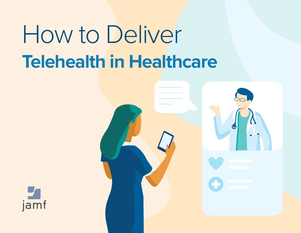# **Telehealth in Healthcare** How to Deliver



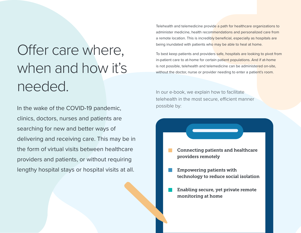### Offer care where, when and how it's needed.

In the wake of the COVID-19 pandemic, clinics, doctors, nurses and patients are searching for new and better ways of delivering and receiving care. This may be in the form of virtual visits between healthcare providers and patients, or without requiring lengthy hospital stays or hospital visits at all.

Telehealth and telemedicine provide a path for healthcare organizations to administer medicine, health recommendations and personalized care from a remote location. This is incredibly beneficial, especially as hospitals are being inundated with patients who may be able to heal at home.

To best keep patients and providers safe, hospitals are looking to pivot from in-patient care to at-home for certain patient populations. And if at-home is not possible, telehealth and telemedicine can be administered on-site, without the doctor, nurse or provider needing to enter a patient's room.

In our e-book, we explain how to facilitate telehealth in the most secure, efficient manner possible by:

- Connecting patients and healthcare providers remotely
- Empowering patients with technology to reduce social isolation
- Enabling secure, yet private remote monitoring at home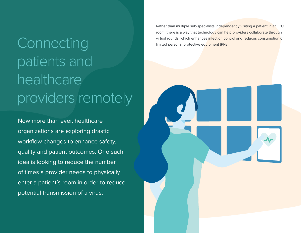## Virtual rounds; which enhances infection control and reduces consumption of UNNECTING Imited personal protective equipment (PPE). patients and healthcare providers/remotely

Now more than ever, healthcare organizations are exploring drastic workflow changes to enhance safety, quality and patient outcomes. One such idea is looking to reduce the number of times a provider needs to physically enter a patient's room in order to reduce potential transmission of a virus.

Rather than multiple sub-specialists independently visiting a patient in an ICU room, there is a way that technology can help providers collaborate through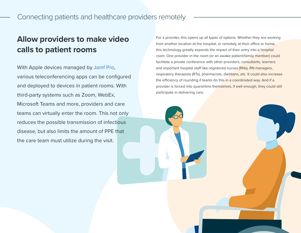### Connecting patients and healthcare providers remotely

### **Allow providers to make video calls to patient rooms**

With Apple devices managed by [Jamf Pro](https://www.jamf.com/products/jamf-pro/), various teleconferencing apps can be configured and deployed to devices in patient rooms. With third-party systems such as Zoom, WebEx, Microsoft Teams and more, providers and care teams can virtually enter the room. This not only reduces the possible transmission of infectious disease, but also limits the amount of PPE that the care team must utilize during the visit.

For a provider, this opens up all types of options. Whether they are working from another location at the hospital, or remotely at their office or home, this technology greatly expands the impact of their entry into a hospital room. One provider in the room (or an awake patient/family member) could facilitate a private conference with other providers, consultants, learners and important hospital staff like registered nurses (RNs), RN managers, respiratory therapists (RTs), pharmacists, dietitians, etc. It could also increase the efficiency of rounding if teams do this in a coordinated way. And if a provider is forced into quarantine themselves, if well enough, they could still participate in delivering care.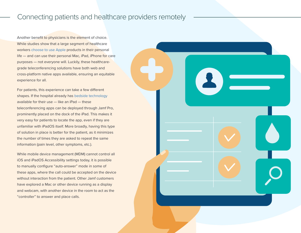### Connecting patients and healthcare providers remotely

Another benefit to physicians is the element of choice. While studies show that a large segment of healthcare workers [choose to use Apple](https://www.jamf.com/resources/e-books/2018-survey-the-impact-of-mobile-devices-on-hospital-patient-satisfaction/) products in their personal life — and can use their personal Mac, iPad, iPhone for care purposes — not everyone will. Luckily, these healthcaregrade teleconferencing solutions have both web and cross-platform native apps available, ensuring an equitable experience for all.

For patients, this experience can take a few different shapes. If the hospital already has [bedside technology](https://www.jamf.com/resources/product-documentation/jamf-pro-for-patient-bedside/) available for their use — like an iPad — these teleconferencing apps can be deployed through Jamf Pro, prominently placed on the dock of the iPad. This makes it very easy for patients to locate the app, even if they are unfamiliar with iPadOS itself. More broadly, having this type of solution in place is better for the patient, as it minimizes the number of times they are asked to repeat the same information (pain level, other symptoms, etc.).

While mobile device management (MDM) cannot control all iOS and iPadOS Accessibility settings today, it is possible to manually configure "auto-answer" mode in some of these apps, where the call could be accepted on the device without interaction from the patient. Other Jamf customers have explored a Mac or other device running as a display and webcam, with another device in the room to act as the "controller" to answer and place calls.

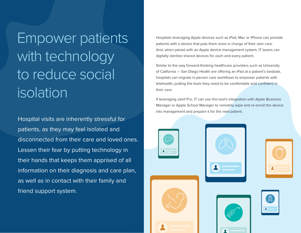Empower patients with technology to reduce social isolation

Hospital visits are inherently stressful for patients, as they may feel isolated and disconnected from their care and loved ones. Lessen their fear by putting technology in their hands that keeps them apprised of all information on their diagnosis and care plan, as well as in contact with their family and friend support system.

Hospitals leveraging Apple devices such as iPad, Mac or iPhone can provide patients with a device that puts them more in charge of their own care. And, when paired with an Apple device management system, IT teams can digitally sterilize shared devices for each and every patient.

Similar to the way forward-thinking healthcare providers such as University of California — San Diego Health are offering an iPad at a patient's bedside, hospitals can migrate in-person care workflows to empower patients with telehealth, putting the tools they need to be comfortable and confident in their care.

If leveraging Jamf Pro, IT can use this tool's integration with Apple Business Manager or Apple School Manager to remotely wipe and re-enroll the device into management and prepare it for the next patient.



| $\blacktriangle$<br><b>Contract Contract Contract</b> |  |
|-------------------------------------------------------|--|
|                                                       |  |

| Dryg |
|------|
|      |

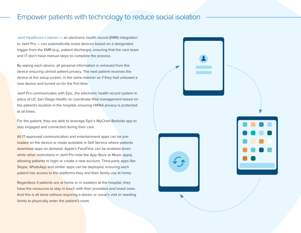#### Empower patients with technology to reduce social isolation

[Jamf Healthcare Listener](https://marketplace.jamf.com/details/jamf-healthcare-listener/) — an electronic health record (EMR) integration to Jamf Pro — can automatically erase devices based on a designated trigger from the EMR (e.g., patient discharge), ensuring that the care team and IT don't have manual steps to complete the process.

By wiping each device, all personal information is removed from the device ensuring utmost patient privacy. The next patient receives the device at the setup screen, in the same manner as if they had unboxed a new device and turned on for the first time.

Jamf Pro communicates with Epic, the electronic health record system in place at UC San Diego Health, to coordinate iPad management based on the patient's location in the hospital, ensuring HIPAA privacy is protected at all times.

For the patient, they are able to leverage Epic's MyChart Bedside app to stay engaged and connected during their care.

All IT-approved communication and entertainment apps can be preloaded on the device or made available in Self Service where patients download apps on demand. Apple's FaceTime can be enabled (even while other restrictions in Jamf Pro hide the App Store or Music apps), allowing patients to login or create a new account. Third-party apps like Skype, WhatsApp and similar apps can be deployed, ensuring each patient has access to the platforms they and their family use at home.

Regardless if patients are at home or in isolation at the hospital, they have the resources to stay in touch with their providers and loved ones. And this is all done without requiring a doctor or nurse's visit or needing family to physically enter the patient's room.

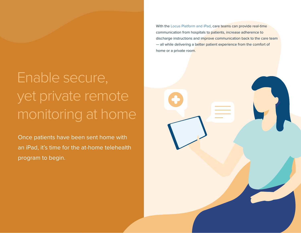### Enable secure, yet private remote monitoring at home

Once patients have been sent home with an iPad, it's time for the at-home telehealth program to begin.

With the [Locus Platform and iPad](https://www.jamf.com/resources/product-documentation/jamf-pro-and-locus-for-healthcare-at-home/), care teams can provide real-time communication from hospitals to patients, increase adherence to discharge instructions and improve communication back to the care team — all while delivering a better patient experience from the comfort of home or a private room.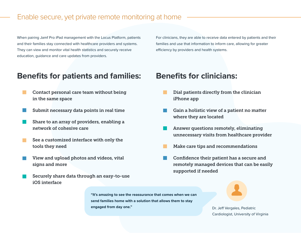### Enable secure, yet private remote monitoring at home

When pairing Jamf Pro iPad management with the Locus Platform, patients and their families stay connected with healthcare providers and systems. They can view and monitor vital health statistics and securely receive education, guidance and care updates from providers.

For clinicians, they are able to receive data entered by patients and their families and use that information to inform care, allowing for greater efficiency by providers and health systems.

### **Benefits for patients and families: Benefits for clinicians:**

- Contact personal care team without being in the same space
- Submit necessary data points in real time
- Share to an array of providers, enabling a network of cohesive care
- See a customized interface with only the tools they need
- View and upload photos and videos, vital signs and more
- Securely share data through an easy-to-use iOS interface

- Dial patients directly from the clinician iPhone app
- Gain a holistic view of a patient no matter where they are located
- Answer questions remotely, eliminating unnecessary visits from healthcare provider
- Make care tips and recommendations
- Confidence their patient has a secure and remotely managed devices that can be easily supported if needed

**"It's amazing to see the reassurance that comes when we can send families home with a solution that allows them to stay engaged from day one." Dr. Jeff Vergales, Pediatric** 

Cardiologist, University of Virginia